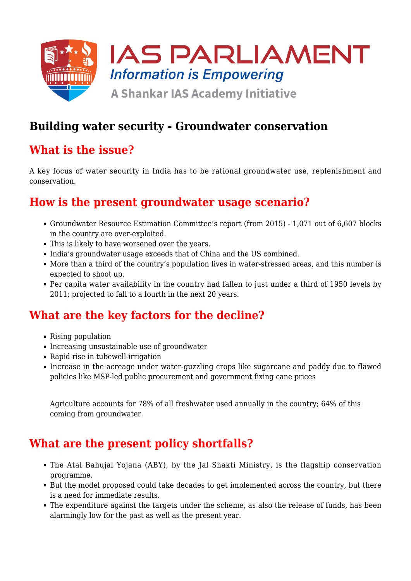

# **Building water security - Groundwater conservation**

# **What is the issue?**

A key focus of water security in India has to be rational groundwater use, replenishment and conservation.

## **How is the present groundwater usage scenario?**

- Groundwater Resource Estimation Committee's report (from 2015) 1,071 out of 6,607 blocks in the country are over-exploited.
- This is likely to have worsened over the years.
- India's groundwater usage exceeds that of China and the US combined.
- More than a third of the country's population lives in water-stressed areas, and this number is expected to shoot up.
- Per capita water availability in the country had fallen to just under a third of 1950 levels by 2011; projected to fall to a fourth in the next 20 years.

## **What are the key factors for the decline?**

- Rising population
- Increasing unsustainable use of groundwater
- Rapid rise in tubewell-irrigation
- Increase in the acreage under water-guzzling crops like sugarcane and paddy due to flawed policies like MSP-led public procurement and government fixing cane prices

Agriculture accounts for 78% of all freshwater used annually in the country; 64% of this coming from groundwater.

# **What are the present policy shortfalls?**

- The Atal Bahujal Yojana (ABY), by the Jal Shakti Ministry, is the flagship conservation programme.
- But the model proposed could take decades to get implemented across the country, but there is a need for immediate results.
- The expenditure against the targets under the scheme, as also the release of funds, has been alarmingly low for the past as well as the present year.